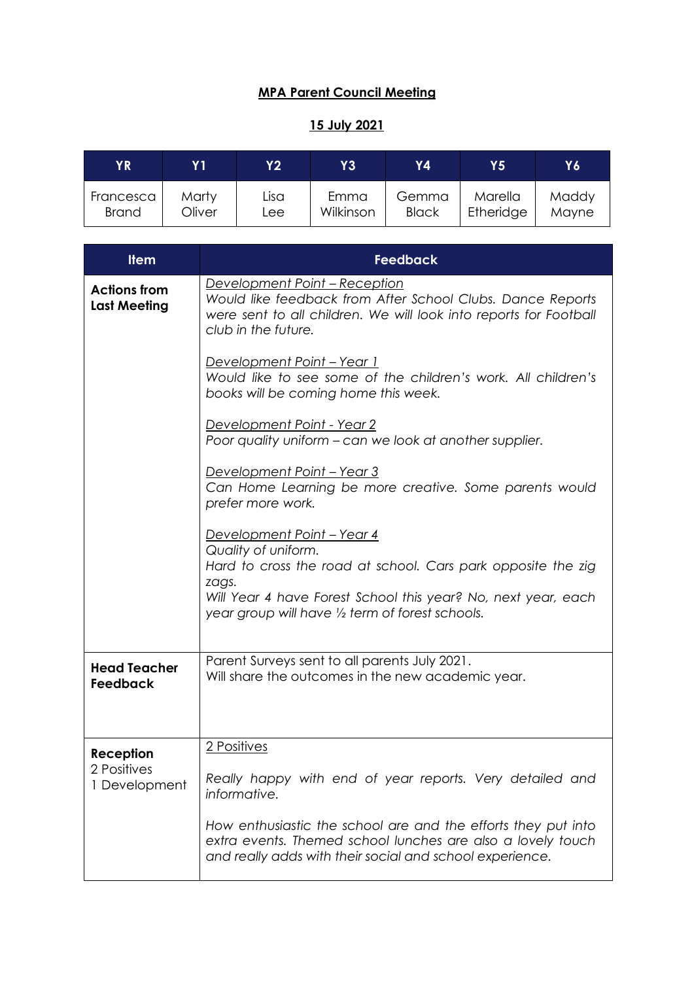## **MPA Parent Council Meeting**

## **15 July 2021**

| ΥR           | Y 1    | <b>Y2</b> | Y3        | Y4           | Y5        | Υ6    |
|--------------|--------|-----------|-----------|--------------|-----------|-------|
| Francesca    | Marty  | Lisa      | Emma      | Gemma        | Marella   | Maddy |
| <b>Brand</b> | Oliver | Lee       | Wilkinson | <b>Black</b> | Etheridge | Mayne |

| <b>Item</b>                                | <b>Feedback</b>                                                                                                                                                                                                                                         |
|--------------------------------------------|---------------------------------------------------------------------------------------------------------------------------------------------------------------------------------------------------------------------------------------------------------|
| <b>Actions from</b><br><b>Last Meeting</b> | Development Point - Reception<br>Would like feedback from After School Clubs. Dance Reports<br>were sent to all children. We will look into reports for Football<br>club in the future.                                                                 |
|                                            | Development Point - Year 1<br>Would like to see some of the children's work. All children's<br>books will be coming home this week.                                                                                                                     |
|                                            | Development Point - Year 2<br>Poor quality uniform - can we look at another supplier.                                                                                                                                                                   |
|                                            | Development Point - Year 3<br>Can Home Learning be more creative. Some parents would<br>prefer more work.                                                                                                                                               |
|                                            | <u> Development Point – Year 4</u><br>Quality of uniform.<br>Hard to cross the road at school. Cars park opposite the zig<br>zags.<br>Will Year 4 have Forest School this year? No, next year, each<br>year group will have 1/2 term of forest schools. |
| <b>Head Teacher</b><br>Feedback            | Parent Surveys sent to all parents July 2021.<br>Will share the outcomes in the new academic year.                                                                                                                                                      |
| Reception                                  | 2 Positives                                                                                                                                                                                                                                             |
| 2 Positives<br>1 Development               | Really happy with end of year reports. Very detailed and<br>informative.                                                                                                                                                                                |
|                                            | How enthusiastic the school are and the efforts they put into<br>extra events. Themed school lunches are also a lovely touch<br>and really adds with their social and school experience.                                                                |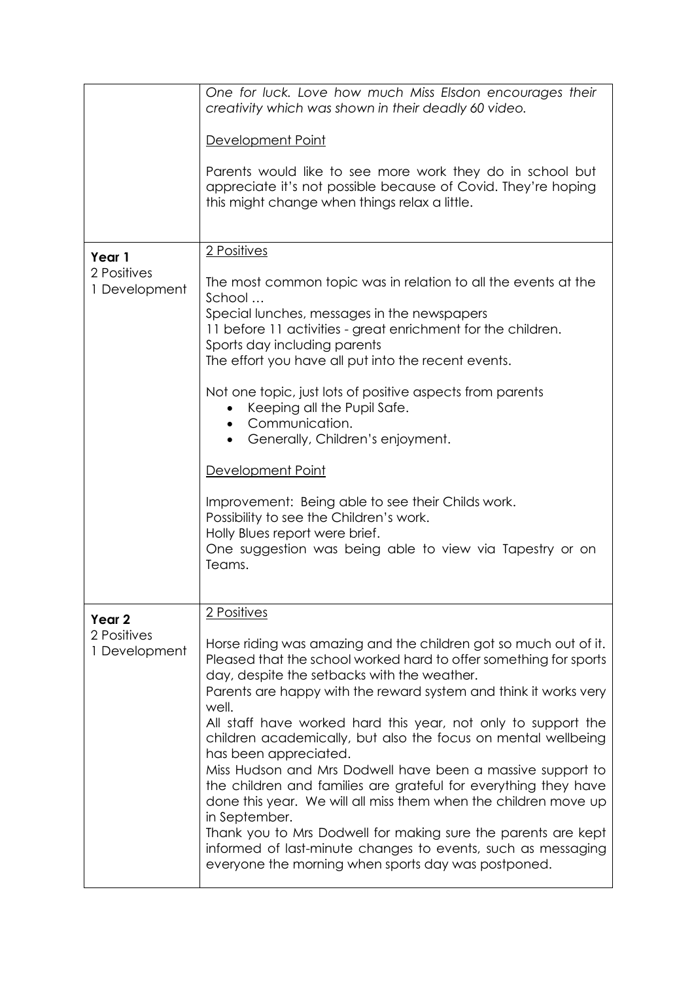| One for luck. Love how much Miss Elsdon encourages their<br>creativity which was shown in their deadly 60 video.                                                                                                                                                                                                                                                                                                                                                                                                                                                                                                                                                                                                                                                                                                                          |
|-------------------------------------------------------------------------------------------------------------------------------------------------------------------------------------------------------------------------------------------------------------------------------------------------------------------------------------------------------------------------------------------------------------------------------------------------------------------------------------------------------------------------------------------------------------------------------------------------------------------------------------------------------------------------------------------------------------------------------------------------------------------------------------------------------------------------------------------|
| Development Point                                                                                                                                                                                                                                                                                                                                                                                                                                                                                                                                                                                                                                                                                                                                                                                                                         |
| Parents would like to see more work they do in school but<br>appreciate it's not possible because of Covid. They're hoping<br>this might change when things relax a little.                                                                                                                                                                                                                                                                                                                                                                                                                                                                                                                                                                                                                                                               |
| 2 Positives                                                                                                                                                                                                                                                                                                                                                                                                                                                                                                                                                                                                                                                                                                                                                                                                                               |
| The most common topic was in relation to all the events at the<br>School<br>Special lunches, messages in the newspapers<br>11 before 11 activities - great enrichment for the children.<br>Sports day including parents<br>The effort you have all put into the recent events.<br>Not one topic, just lots of positive aspects from parents<br>Keeping all the Pupil Safe.<br>Communication.<br>Generally, Children's enjoyment.<br>Development Point<br>Improvement: Being able to see their Childs work.<br>Possibility to see the Children's work.<br>Holly Blues report were brief.<br>One suggestion was being able to view via Tapestry or on<br>Teams.                                                                                                                                                                             |
|                                                                                                                                                                                                                                                                                                                                                                                                                                                                                                                                                                                                                                                                                                                                                                                                                                           |
| 2 Positives                                                                                                                                                                                                                                                                                                                                                                                                                                                                                                                                                                                                                                                                                                                                                                                                                               |
| Horse riding was amazing and the children got so much out of it.<br>Pleased that the school worked hard to offer something for sports<br>day, despite the setbacks with the weather.<br>Parents are happy with the reward system and think it works very<br>well.<br>All staff have worked hard this year, not only to support the<br>children academically, but also the focus on mental wellbeing<br>has been appreciated.<br>Miss Hudson and Mrs Dodwell have been a massive support to<br>the children and families are grateful for everything they have<br>done this year. We will all miss them when the children move up<br>in September.<br>Thank you to Mrs Dodwell for making sure the parents are kept<br>informed of last-minute changes to events, such as messaging<br>everyone the morning when sports day was postponed. |
|                                                                                                                                                                                                                                                                                                                                                                                                                                                                                                                                                                                                                                                                                                                                                                                                                                           |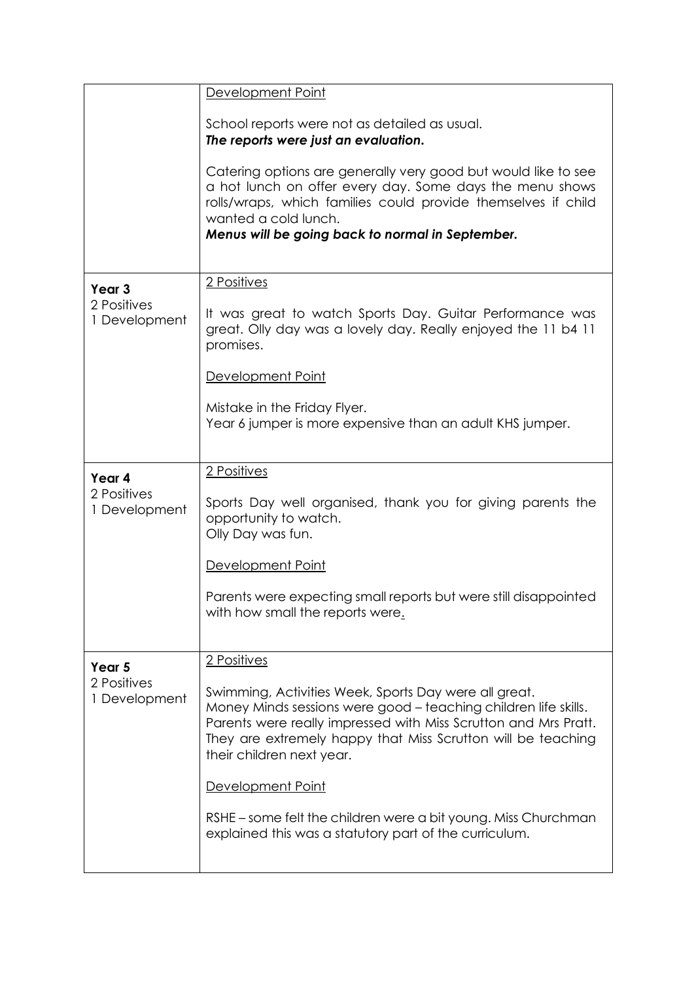|                              | Development Point                                                                                                                                                                                                                                                                        |
|------------------------------|------------------------------------------------------------------------------------------------------------------------------------------------------------------------------------------------------------------------------------------------------------------------------------------|
|                              | School reports were not as detailed as usual.<br>The reports were just an evaluation.                                                                                                                                                                                                    |
|                              | Catering options are generally very good but would like to see<br>a hot lunch on offer every day. Some days the menu shows<br>rolls/wraps, which families could provide themselves if child<br>wanted a cold lunch.<br>Menus will be going back to normal in September.                  |
| Year <sub>3</sub>            | 2 Positives                                                                                                                                                                                                                                                                              |
| 2 Positives<br>1 Development | It was great to watch Sports Day. Guitar Performance was<br>great. Olly day was a lovely day. Really enjoyed the 11 b4 11<br>promises.                                                                                                                                                   |
|                              | Development Point                                                                                                                                                                                                                                                                        |
|                              | Mistake in the Friday Flyer.<br>Year 6 jumper is more expensive than an adult KHS jumper.                                                                                                                                                                                                |
| Year 4                       | 2 Positives                                                                                                                                                                                                                                                                              |
| 2 Positives<br>1 Development | Sports Day well organised, thank you for giving parents the<br>opportunity to watch.<br>Olly Day was fun.                                                                                                                                                                                |
|                              | Development Point                                                                                                                                                                                                                                                                        |
|                              | Parents were expecting small reports but were still disappointed<br>with how small the reports were.                                                                                                                                                                                     |
| Year 5                       | 2 Positives                                                                                                                                                                                                                                                                              |
| 2 Positives<br>1 Development | Swimming, Activities Week, Sports Day were all great.<br>Money Minds sessions were good - teaching children life skills.<br>Parents were really impressed with Miss Scrutton and Mrs Pratt.<br>They are extremely happy that Miss Scrutton will be teaching<br>their children next year. |
|                              | Development Point                                                                                                                                                                                                                                                                        |
|                              | RSHE – some felt the children were a bit young. Miss Churchman<br>explained this was a statutory part of the curriculum.                                                                                                                                                                 |
|                              |                                                                                                                                                                                                                                                                                          |